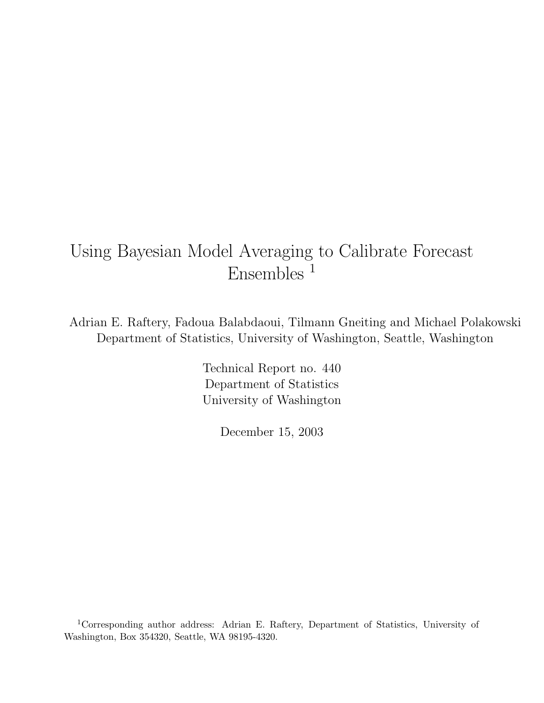# Using Bayesian Model Averaging to Calibrate Forecast Ensembles<sup>1</sup>

Adrian E. Raftery, Fadoua Balabdaoui, Tilmann Gneiting and Michael Polakowski Department of Statistics, University of Washington, Seattle, Washington

> Technical Report no. 440 Department of Statistics University of Washington

> > December 15, 2003

<sup>1</sup>Corresponding author address: Adrian E. Raftery, Department of Statistics, University of Washington, Box 354320, Seattle, WA 98195-4320.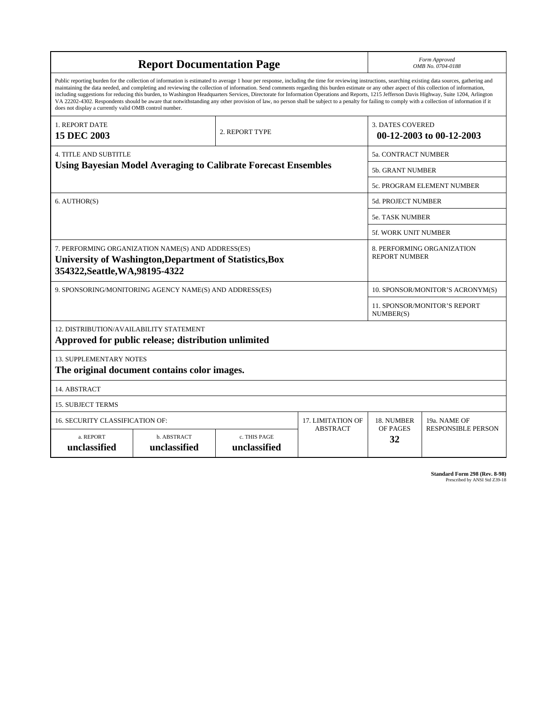| <b>Report Documentation Page</b>                                                                                                                                                                                                                                                                                                                                                                                                                                                                                                                                                                                                                                                                                                                                                                                                                                   |                                                                       |                 |                                                    |                                  | Form Approved<br>OMB No. 0704-0188 |
|--------------------------------------------------------------------------------------------------------------------------------------------------------------------------------------------------------------------------------------------------------------------------------------------------------------------------------------------------------------------------------------------------------------------------------------------------------------------------------------------------------------------------------------------------------------------------------------------------------------------------------------------------------------------------------------------------------------------------------------------------------------------------------------------------------------------------------------------------------------------|-----------------------------------------------------------------------|-----------------|----------------------------------------------------|----------------------------------|------------------------------------|
| Public reporting burden for the collection of information is estimated to average 1 hour per response, including the time for reviewing instructions, searching existing data sources, gathering and<br>maintaining the data needed, and completing and reviewing the collection of information. Send comments regarding this burden estimate or any other aspect of this collection of information,<br>including suggestions for reducing this burden, to Washington Headquarters Services, Directorate for Information Operations and Reports, 1215 Jefferson Davis Highway, Suite 1204, Arlington<br>VA 22202-4302. Respondents should be aware that notwithstanding any other provision of law, no person shall be subject to a penalty for failing to comply with a collection of information if it<br>does not display a currently valid OMB control number. |                                                                       |                 |                                                    |                                  |                                    |
| 1. REPORT DATE<br><b>15 DEC 2003</b>                                                                                                                                                                                                                                                                                                                                                                                                                                                                                                                                                                                                                                                                                                                                                                                                                               |                                                                       | 2. REPORT TYPE  |                                                    | <b>3. DATES COVERED</b>          | 00-12-2003 to 00-12-2003           |
| <b>4. TITLE AND SUBTITLE</b>                                                                                                                                                                                                                                                                                                                                                                                                                                                                                                                                                                                                                                                                                                                                                                                                                                       |                                                                       |                 |                                                    | <b>5a. CONTRACT NUMBER</b>       |                                    |
|                                                                                                                                                                                                                                                                                                                                                                                                                                                                                                                                                                                                                                                                                                                                                                                                                                                                    | <b>Using Bayesian Model Averaging to Calibrate Forecast Ensembles</b> |                 |                                                    | <b>5b. GRANT NUMBER</b>          |                                    |
|                                                                                                                                                                                                                                                                                                                                                                                                                                                                                                                                                                                                                                                                                                                                                                                                                                                                    |                                                                       |                 |                                                    |                                  | 5c. PROGRAM ELEMENT NUMBER         |
| 6. AUTHOR(S)                                                                                                                                                                                                                                                                                                                                                                                                                                                                                                                                                                                                                                                                                                                                                                                                                                                       |                                                                       |                 |                                                    | <b>5d. PROJECT NUMBER</b>        |                                    |
|                                                                                                                                                                                                                                                                                                                                                                                                                                                                                                                                                                                                                                                                                                                                                                                                                                                                    |                                                                       |                 |                                                    | <b>5e. TASK NUMBER</b>           |                                    |
|                                                                                                                                                                                                                                                                                                                                                                                                                                                                                                                                                                                                                                                                                                                                                                                                                                                                    |                                                                       |                 |                                                    | 5f. WORK UNIT NUMBER             |                                    |
| 7. PERFORMING ORGANIZATION NAME(S) AND ADDRESS(ES)<br>University of Washington, Department of Statistics, Box<br>354322, Seattle, WA, 98195-4322                                                                                                                                                                                                                                                                                                                                                                                                                                                                                                                                                                                                                                                                                                                   |                                                                       |                 | 8. PERFORMING ORGANIZATION<br><b>REPORT NUMBER</b> |                                  |                                    |
| 9. SPONSORING/MONITORING AGENCY NAME(S) AND ADDRESS(ES)                                                                                                                                                                                                                                                                                                                                                                                                                                                                                                                                                                                                                                                                                                                                                                                                            |                                                                       |                 |                                                    | 10. SPONSOR/MONITOR'S ACRONYM(S) |                                    |
|                                                                                                                                                                                                                                                                                                                                                                                                                                                                                                                                                                                                                                                                                                                                                                                                                                                                    |                                                                       |                 | <b>11. SPONSOR/MONITOR'S REPORT</b><br>NUMBER(S)   |                                  |                                    |
| 12. DISTRIBUTION/AVAILABILITY STATEMENT<br>Approved for public release; distribution unlimited                                                                                                                                                                                                                                                                                                                                                                                                                                                                                                                                                                                                                                                                                                                                                                     |                                                                       |                 |                                                    |                                  |                                    |
| <b>13. SUPPLEMENTARY NOTES</b><br>The original document contains color images.                                                                                                                                                                                                                                                                                                                                                                                                                                                                                                                                                                                                                                                                                                                                                                                     |                                                                       |                 |                                                    |                                  |                                    |
| 14. ABSTRACT                                                                                                                                                                                                                                                                                                                                                                                                                                                                                                                                                                                                                                                                                                                                                                                                                                                       |                                                                       |                 |                                                    |                                  |                                    |
| <b>15. SUBJECT TERMS</b>                                                                                                                                                                                                                                                                                                                                                                                                                                                                                                                                                                                                                                                                                                                                                                                                                                           |                                                                       |                 |                                                    |                                  |                                    |
| 16. SECURITY CLASSIFICATION OF:<br>17. LIMITATION OF                                                                                                                                                                                                                                                                                                                                                                                                                                                                                                                                                                                                                                                                                                                                                                                                               |                                                                       |                 | 18. NUMBER                                         | 19a. NAME OF                     |                                    |
| a. REPORT<br>b. ABSTRACT<br>c. THIS PAGE<br>unclassified<br>unclassified<br>unclassified                                                                                                                                                                                                                                                                                                                                                                                                                                                                                                                                                                                                                                                                                                                                                                           |                                                                       | <b>ABSTRACT</b> | OF PAGES<br>32                                     | <b>RESPONSIBLE PERSON</b>        |                                    |

**Standard Form 298 (Rev. 8-98)**<br>Prescribed by ANSI Std Z39-18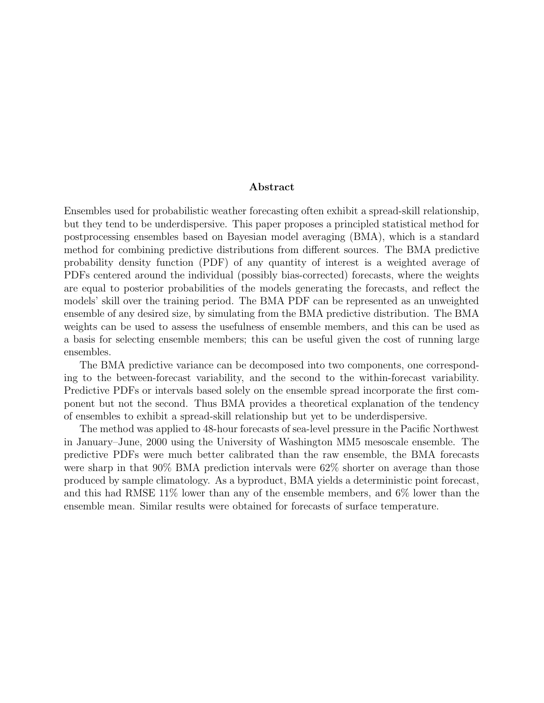#### Abstract

Ensembles used for probabilistic weather forecasting often exhibit a spread-skill relationship, but they tend to be underdispersive. This paper proposes a principled statistical method for postprocessing ensembles based on Bayesian model averaging (BMA), which is a standard method for combining predictive distributions from different sources. The BMA predictive probability density function (PDF) of any quantity of interest is a weighted average of PDFs centered around the individual (possibly bias-corrected) forecasts, where the weights are equal to posterior probabilities of the models generating the forecasts, and reflect the models' skill over the training period. The BMA PDF can be represented as an unweighted ensemble of any desired size, by simulating from the BMA predictive distribution. The BMA weights can be used to assess the usefulness of ensemble members, and this can be used as a basis for selecting ensemble members; this can be useful given the cost of running large ensembles.

The BMA predictive variance can be decomposed into two components, one corresponding to the between-forecast variability, and the second to the within-forecast variability. Predictive PDFs or intervals based solely on the ensemble spread incorporate the first component but not the second. Thus BMA provides a theoretical explanation of the tendency of ensembles to exhibit a spread-skill relationship but yet to be underdispersive.

The method was applied to 48-hour forecasts of sea-level pressure in the Pacific Northwest in January–June, 2000 using the University of Washington MM5 mesoscale ensemble. The predictive PDFs were much better calibrated than the raw ensemble, the BMA forecasts were sharp in that 90% BMA prediction intervals were 62% shorter on average than those produced by sample climatology. As a byproduct, BMA yields a deterministic point forecast, and this had RMSE 11% lower than any of the ensemble members, and 6% lower than the ensemble mean. Similar results were obtained for forecasts of surface temperature.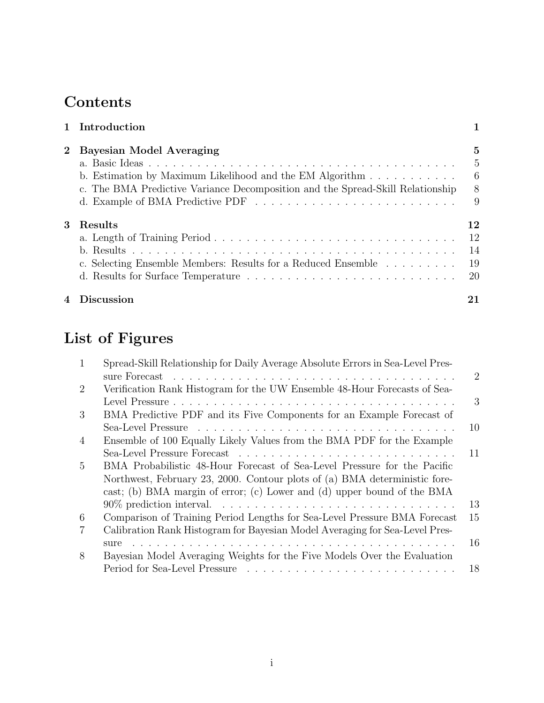# Contents

|             | 1 Introduction                                                                 |               |
|-------------|--------------------------------------------------------------------------------|---------------|
| $2^{\circ}$ | <b>Bayesian Model Averaging</b>                                                | 5             |
|             |                                                                                | 5             |
|             | b. Estimation by Maximum Likelihood and the EM Algorithm $\dots \dots \dots$   | - 6           |
|             | c. The BMA Predictive Variance Decomposition and the Spread-Skill Relationship | 8             |
|             |                                                                                | 9             |
| 3           | Results                                                                        | 12            |
|             |                                                                                | 12            |
|             |                                                                                | 14            |
|             | c. Selecting Ensemble Members: Results for a Reduced Ensemble                  | 19            |
|             |                                                                                | <sup>20</sup> |
| 4           | Discussion                                                                     | 21            |

# List of Figures

| $\mathbf{1}$   | Spread-Skill Relationship for Daily Average Absolute Errors in Sea-Level Pres-                                                                                                                                                 |                |
|----------------|--------------------------------------------------------------------------------------------------------------------------------------------------------------------------------------------------------------------------------|----------------|
|                | sure Forecast residence in the contract of the contract of the contract of the contract of the contract of the contract of the contract of the contract of the contract of the contract of the contract of the contract of the | $\overline{2}$ |
| 2              | Verification Rank Histogram for the UW Ensemble 48-Hour Forecasts of Sea-                                                                                                                                                      |                |
|                |                                                                                                                                                                                                                                | 3              |
| 3              | BMA Predictive PDF and its Five Components for an Example Forecast of                                                                                                                                                          |                |
|                |                                                                                                                                                                                                                                | 10             |
| $\overline{4}$ | Ensemble of 100 Equally Likely Values from the BMA PDF for the Example                                                                                                                                                         |                |
|                |                                                                                                                                                                                                                                | 11             |
| $\frac{5}{2}$  | BMA Probabilistic 48-Hour Forecast of Sea-Level Pressure for the Pacific                                                                                                                                                       |                |
|                | Northwest, February 23, 2000. Contour plots of (a) BMA deterministic fore-                                                                                                                                                     |                |
|                | cast; (b) BMA margin of error; (c) Lower and (d) upper bound of the BMA                                                                                                                                                        |                |
|                |                                                                                                                                                                                                                                | 13             |
| 6              | Comparison of Training Period Lengths for Sea-Level Pressure BMA Forecast                                                                                                                                                      | 15             |
|                | Calibration Rank Histogram for Bayesian Model Averaging for Sea-Level Pres-                                                                                                                                                    |                |
|                | sure                                                                                                                                                                                                                           | 16             |
| 8              | Bayesian Model Averaging Weights for the Five Models Over the Evaluation                                                                                                                                                       |                |
|                |                                                                                                                                                                                                                                | 18             |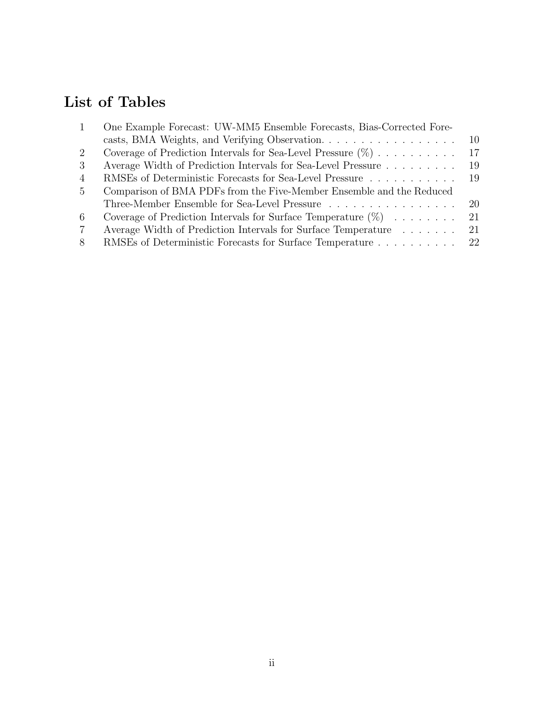# List of Tables

| $\mathbf{1}$  | One Example Forecast: UW-MM5 Ensemble Forecasts, Bias-Corrected Fore-       |     |
|---------------|-----------------------------------------------------------------------------|-----|
|               | casts, BMA Weights, and Verifying Observation.                              | 10  |
| 2             | Coverage of Prediction Intervals for Sea-Level Pressure $(\%)$              | 17  |
| $\mathcal{S}$ | Average Width of Prediction Intervals for Sea-Level Pressure                | -19 |
| 4             | RMSEs of Deterministic Forecasts for Sea-Level Pressure                     | -19 |
| $5^{\circ}$   | Comparison of BMA PDFs from the Five-Member Ensemble and the Reduced        |     |
|               | Three-Member Ensemble for Sea-Level Pressure                                | -20 |
| 6             | Coverage of Prediction Intervals for Surface Temperature $(\%) \dots \dots$ | 21  |
| 7             | Average Width of Prediction Intervals for Surface Temperature               | -21 |
| 8             | RMSEs of Deterministic Forecasts for Surface Temperature 22                 |     |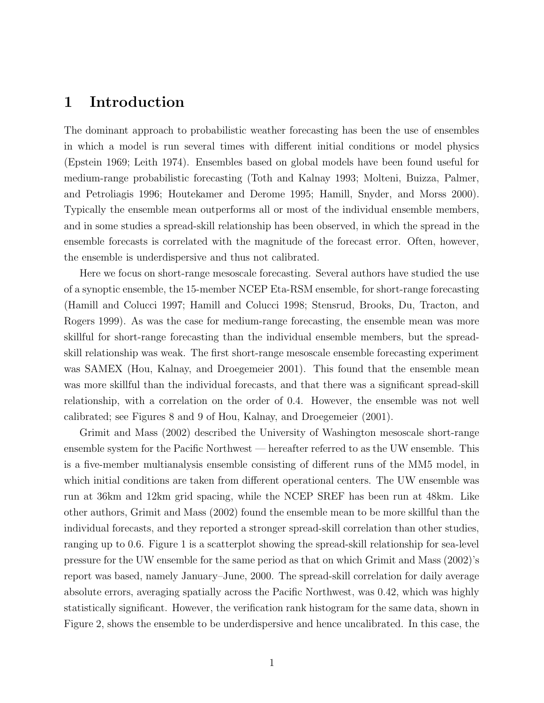## 1 Introduction

The dominant approach to probabilistic weather forecasting has been the use of ensembles in which a model is run several times with different initial conditions or model physics (Epstein 1969; Leith 1974). Ensembles based on global models have been found useful for medium-range probabilistic forecasting (Toth and Kalnay 1993; Molteni, Buizza, Palmer, and Petroliagis 1996; Houtekamer and Derome 1995; Hamill, Snyder, and Morss 2000). Typically the ensemble mean outperforms all or most of the individual ensemble members, and in some studies a spread-skill relationship has been observed, in which the spread in the ensemble forecasts is correlated with the magnitude of the forecast error. Often, however, the ensemble is underdispersive and thus not calibrated.

Here we focus on short-range mesoscale forecasting. Several authors have studied the use of a synoptic ensemble, the 15-member NCEP Eta-RSM ensemble, for short-range forecasting (Hamill and Colucci 1997; Hamill and Colucci 1998; Stensrud, Brooks, Du, Tracton, and Rogers 1999). As was the case for medium-range forecasting, the ensemble mean was more skillful for short-range forecasting than the individual ensemble members, but the spreadskill relationship was weak. The first short-range mesoscale ensemble forecasting experiment was SAMEX (Hou, Kalnay, and Droegemeier 2001). This found that the ensemble mean was more skillful than the individual forecasts, and that there was a significant spread-skill relationship, with a correlation on the order of 0.4. However, the ensemble was not well calibrated; see Figures 8 and 9 of Hou, Kalnay, and Droegemeier (2001).

Grimit and Mass (2002) described the University of Washington mesoscale short-range ensemble system for the Pacific Northwest — hereafter referred to as the UW ensemble. This is a five-member multianalysis ensemble consisting of different runs of the MM5 model, in which initial conditions are taken from different operational centers. The UW ensemble was run at 36km and 12km grid spacing, while the NCEP SREF has been run at 48km. Like other authors, Grimit and Mass (2002) found the ensemble mean to be more skillful than the individual forecasts, and they reported a stronger spread-skill correlation than other studies, ranging up to 0.6. Figure 1 is a scatterplot showing the spread-skill relationship for sea-level pressure for the UW ensemble for the same period as that on which Grimit and Mass (2002)'s report was based, namely January–June, 2000. The spread-skill correlation for daily average absolute errors, averaging spatially across the Pacific Northwest, was 0.42, which was highly statistically significant. However, the verification rank histogram for the same data, shown in Figure 2, shows the ensemble to be underdispersive and hence uncalibrated. In this case, the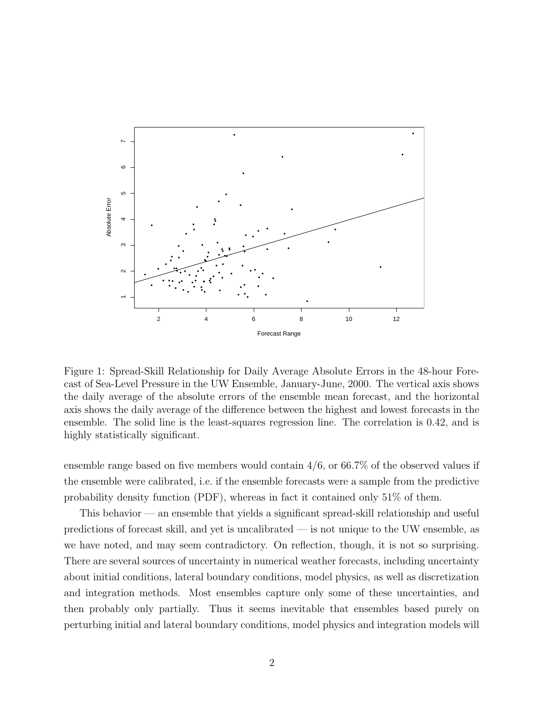

Figure 1: Spread-Skill Relationship for Daily Average Absolute Errors in the 48-hour Forecast of Sea-Level Pressure in the UW Ensemble, January-June, 2000. The vertical axis shows the daily average of the absolute errors of the ensemble mean forecast, and the horizontal axis shows the daily average of the difference between the highest and lowest forecasts in the ensemble. The solid line is the least-squares regression line. The correlation is 0.42, and is highly statistically significant.

ensemble range based on five members would contain 4/6, or 66.7% of the observed values if the ensemble were calibrated, i.e. if the ensemble forecasts were a sample from the predictive probability density function (PDF), whereas in fact it contained only 51% of them.

This behavior — an ensemble that yields a significant spread-skill relationship and useful predictions of forecast skill, and yet is uncalibrated — is not unique to the UW ensemble, as we have noted, and may seem contradictory. On reflection, though, it is not so surprising. There are several sources of uncertainty in numerical weather forecasts, including uncertainty about initial conditions, lateral boundary conditions, model physics, as well as discretization and integration methods. Most ensembles capture only some of these uncertainties, and then probably only partially. Thus it seems inevitable that ensembles based purely on perturbing initial and lateral boundary conditions, model physics and integration models will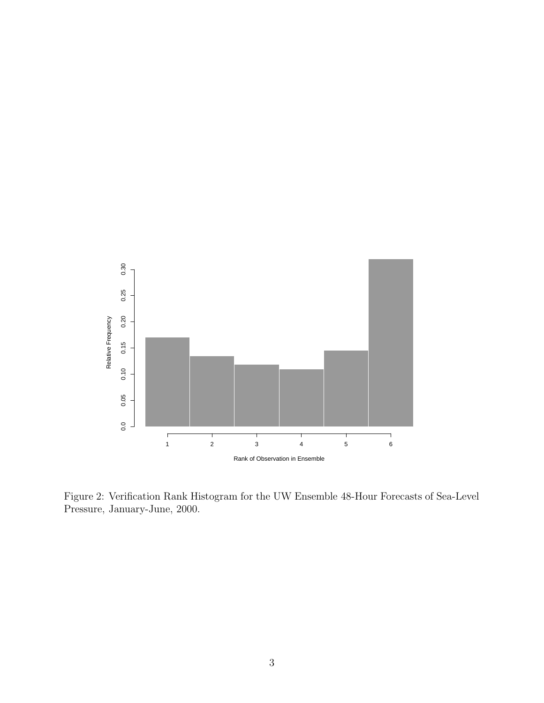

Figure 2: Verification Rank Histogram for the UW Ensemble 48-Hour Forecasts of Sea-Level Pressure, January-June, 2000.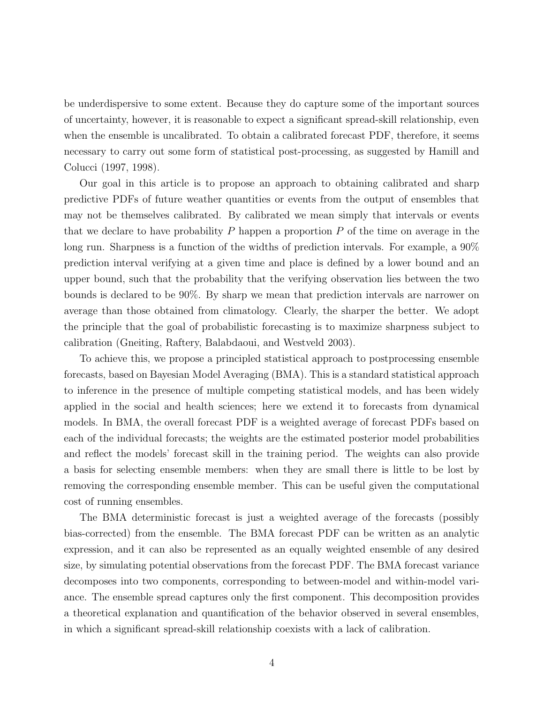be underdispersive to some extent. Because they do capture some of the important sources of uncertainty, however, it is reasonable to expect a significant spread-skill relationship, even when the ensemble is uncalibrated. To obtain a calibrated forecast PDF, therefore, it seems necessary to carry out some form of statistical post-processing, as suggested by Hamill and Colucci (1997, 1998).

Our goal in this article is to propose an approach to obtaining calibrated and sharp predictive PDFs of future weather quantities or events from the output of ensembles that may not be themselves calibrated. By calibrated we mean simply that intervals or events that we declare to have probability  $P$  happen a proportion  $P$  of the time on average in the long run. Sharpness is a function of the widths of prediction intervals. For example, a 90% prediction interval verifying at a given time and place is defined by a lower bound and an upper bound, such that the probability that the verifying observation lies between the two bounds is declared to be 90%. By sharp we mean that prediction intervals are narrower on average than those obtained from climatology. Clearly, the sharper the better. We adopt the principle that the goal of probabilistic forecasting is to maximize sharpness subject to calibration (Gneiting, Raftery, Balabdaoui, and Westveld 2003).

To achieve this, we propose a principled statistical approach to postprocessing ensemble forecasts, based on Bayesian Model Averaging (BMA). This is a standard statistical approach to inference in the presence of multiple competing statistical models, and has been widely applied in the social and health sciences; here we extend it to forecasts from dynamical models. In BMA, the overall forecast PDF is a weighted average of forecast PDFs based on each of the individual forecasts; the weights are the estimated posterior model probabilities and reflect the models' forecast skill in the training period. The weights can also provide a basis for selecting ensemble members: when they are small there is little to be lost by removing the corresponding ensemble member. This can be useful given the computational cost of running ensembles.

The BMA deterministic forecast is just a weighted average of the forecasts (possibly bias-corrected) from the ensemble. The BMA forecast PDF can be written as an analytic expression, and it can also be represented as an equally weighted ensemble of any desired size, by simulating potential observations from the forecast PDF. The BMA forecast variance decomposes into two components, corresponding to between-model and within-model variance. The ensemble spread captures only the first component. This decomposition provides a theoretical explanation and quantification of the behavior observed in several ensembles, in which a significant spread-skill relationship coexists with a lack of calibration.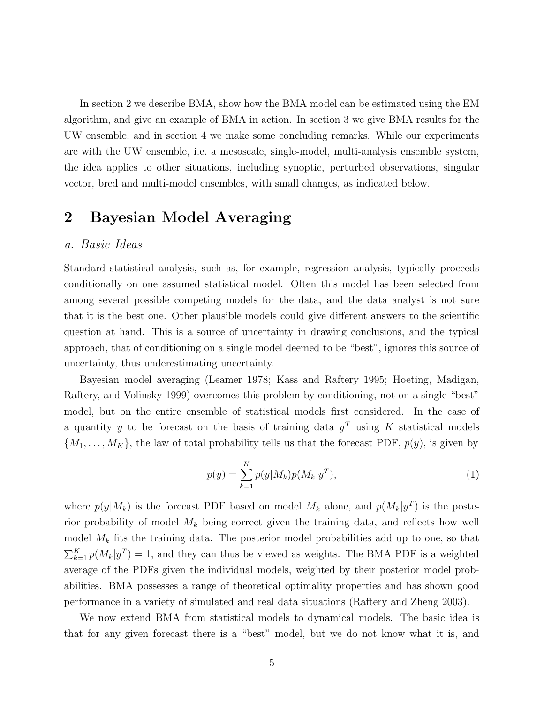In section 2 we describe BMA, show how the BMA model can be estimated using the EM algorithm, and give an example of BMA in action. In section 3 we give BMA results for the UW ensemble, and in section 4 we make some concluding remarks. While our experiments are with the UW ensemble, i.e. a mesoscale, single-model, multi-analysis ensemble system, the idea applies to other situations, including synoptic, perturbed observations, singular vector, bred and multi-model ensembles, with small changes, as indicated below.

## 2 Bayesian Model Averaging

#### a. Basic Ideas

Standard statistical analysis, such as, for example, regression analysis, typically proceeds conditionally on one assumed statistical model. Often this model has been selected from among several possible competing models for the data, and the data analyst is not sure that it is the best one. Other plausible models could give different answers to the scientific question at hand. This is a source of uncertainty in drawing conclusions, and the typical approach, that of conditioning on a single model deemed to be "best", ignores this source of uncertainty, thus underestimating uncertainty.

Bayesian model averaging (Leamer 1978; Kass and Raftery 1995; Hoeting, Madigan, Raftery, and Volinsky 1999) overcomes this problem by conditioning, not on a single "best" model, but on the entire ensemble of statistical models first considered. In the case of a quantity y to be forecast on the basis of training data  $y<sup>T</sup>$  using K statistical models  $\{M_1, \ldots, M_K\}$ , the law of total probability tells us that the forecast PDF,  $p(y)$ , is given by

$$
p(y) = \sum_{k=1}^{K} p(y|M_k)p(M_k|y^T),
$$
\n(1)

where  $p(y|M_k)$  is the forecast PDF based on model  $M_k$  alone, and  $p(M_k|y^T)$  is the posterior probability of model  $M_k$  being correct given the training data, and reflects how well model  $M_k$  fits the training data. The posterior model probabilities add up to one, so that  $\sum_{k=1}^{K} p(M_k|y^T) = 1$ , and they can thus be viewed as weights. The BMA PDF is a weighted average of the PDFs given the individual models, weighted by their posterior model probabilities. BMA possesses a range of theoretical optimality properties and has shown good performance in a variety of simulated and real data situations (Raftery and Zheng 2003).

We now extend BMA from statistical models to dynamical models. The basic idea is that for any given forecast there is a "best" model, but we do not know what it is, and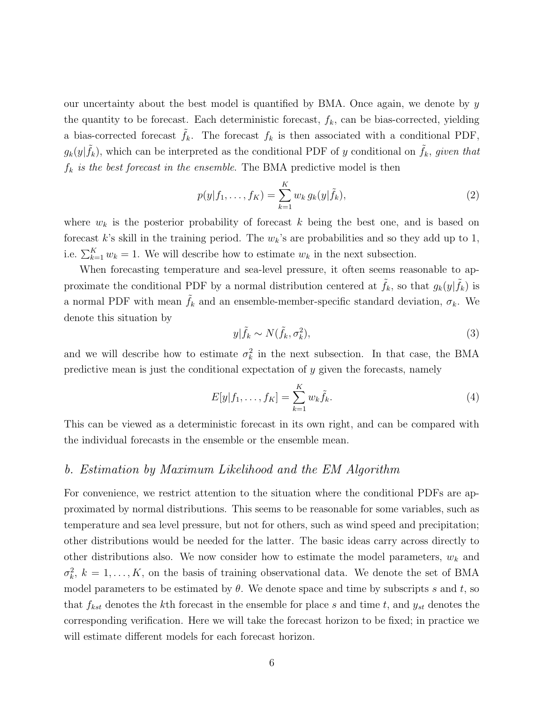our uncertainty about the best model is quantified by BMA. Once again, we denote by  $y$ the quantity to be forecast. Each deterministic forecast,  $f_k$ , can be bias-corrected, yielding a bias-corrected forecast  $f_k$ . The forecast  $f_k$  is then associated with a conditional PDF,  $g_k(y|\tilde{f}_k)$ , which can be interpreted as the conditional PDF of y conditional on  $\tilde{f}_k$ , given that  $f_k$  is the best forecast in the ensemble. The BMA predictive model is then

$$
p(y|f_1, ..., f_K) = \sum_{k=1}^{K} w_k g_k(y|\tilde{f}_k),
$$
\n(2)

where  $w_k$  is the posterior probability of forecast k being the best one, and is based on forecast k's skill in the training period. The  $w_k$ 's are probabilities and so they add up to 1, i.e.  $\sum_{k=1}^{K} w_k = 1$ . We will describe how to estimate  $w_k$  in the next subsection.

When forecasting temperature and sea-level pressure, it often seems reasonable to approximate the conditional PDF by a normal distribution centered at  $\tilde{f}_k$ , so that  $g_k(y|\tilde{f}_k)$  is a normal PDF with mean  $\tilde{f}_k$  and an ensemble-member-specific standard deviation,  $\sigma_k$ . We denote this situation by

$$
y|\tilde{f}_k \sim N(\tilde{f}_k, \sigma_k^2),\tag{3}
$$

and we will describe how to estimate  $\sigma_k^2$  in the next subsection. In that case, the BMA predictive mean is just the conditional expectation of  $y$  given the forecasts, namely

$$
E[y|f_1, ..., f_K] = \sum_{k=1}^{K} w_k \tilde{f}_k.
$$
 (4)

This can be viewed as a deterministic forecast in its own right, and can be compared with the individual forecasts in the ensemble or the ensemble mean.

### b. Estimation by Maximum Likelihood and the EM Algorithm

For convenience, we restrict attention to the situation where the conditional PDFs are approximated by normal distributions. This seems to be reasonable for some variables, such as temperature and sea level pressure, but not for others, such as wind speed and precipitation; other distributions would be needed for the latter. The basic ideas carry across directly to other distributions also. We now consider how to estimate the model parameters,  $w_k$  and  $\sigma_k^2$ ,  $k = 1, \ldots, K$ , on the basis of training observational data. We denote the set of BMA model parameters to be estimated by  $\theta$ . We denote space and time by subscripts s and t, so that  $f_{kst}$  denotes the kth forecast in the ensemble for place s and time t, and  $y_{st}$  denotes the corresponding verification. Here we will take the forecast horizon to be fixed; in practice we will estimate different models for each forecast horizon.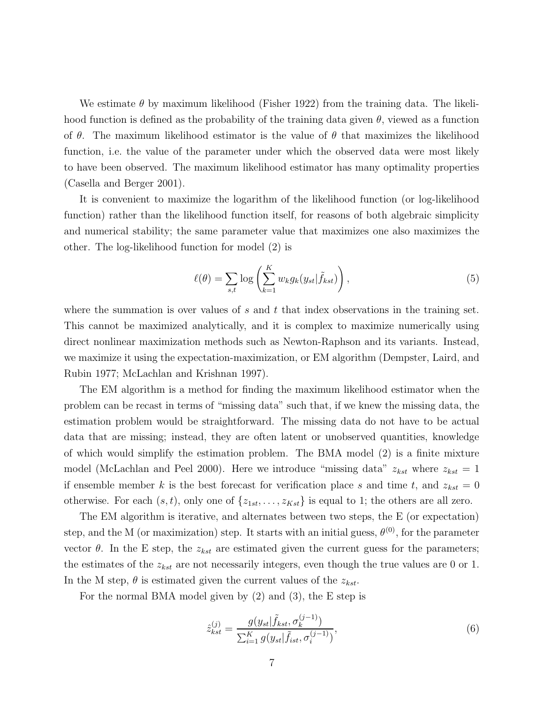We estimate  $\theta$  by maximum likelihood (Fisher 1922) from the training data. The likelihood function is defined as the probability of the training data given  $\theta$ , viewed as a function of  $\theta$ . The maximum likelihood estimator is the value of  $\theta$  that maximizes the likelihood function, i.e. the value of the parameter under which the observed data were most likely to have been observed. The maximum likelihood estimator has many optimality properties (Casella and Berger 2001).

It is convenient to maximize the logarithm of the likelihood function (or log-likelihood function) rather than the likelihood function itself, for reasons of both algebraic simplicity and numerical stability; the same parameter value that maximizes one also maximizes the other. The log-likelihood function for model (2) is

$$
\ell(\theta) = \sum_{s,t} \log \left( \sum_{k=1}^K w_k g_k(y_{st} | \tilde{f}_{kst}) \right), \tag{5}
$$

where the summation is over values of s and t that index observations in the training set. This cannot be maximized analytically, and it is complex to maximize numerically using direct nonlinear maximization methods such as Newton-Raphson and its variants. Instead, we maximize it using the expectation-maximization, or EM algorithm (Dempster, Laird, and Rubin 1977; McLachlan and Krishnan 1997).

The EM algorithm is a method for finding the maximum likelihood estimator when the problem can be recast in terms of "missing data" such that, if we knew the missing data, the estimation problem would be straightforward. The missing data do not have to be actual data that are missing; instead, they are often latent or unobserved quantities, knowledge of which would simplify the estimation problem. The BMA model (2) is a finite mixture model (McLachlan and Peel 2000). Here we introduce "missing data"  $z_{kst}$  where  $z_{kst} = 1$ if ensemble member k is the best forecast for verification place s and time t, and  $z_{kst} = 0$ otherwise. For each  $(s,t)$ , only one of  $\{z_{1st}, \ldots, z_{Kst}\}\$ is equal to 1; the others are all zero.

The EM algorithm is iterative, and alternates between two steps, the E (or expectation) step, and the M (or maximization) step. It starts with an initial guess,  $\theta^{(0)}$ , for the parameter vector  $\theta$ . In the E step, the  $z_{kst}$  are estimated given the current guess for the parameters; the estimates of the  $z_{kst}$  are not necessarily integers, even though the true values are 0 or 1. In the M step,  $\theta$  is estimated given the current values of the  $z_{kst}$ .

For the normal BMA model given by (2) and (3), the E step is

$$
\hat{z}_{kst}^{(j)} = \frac{g(y_{st}|\tilde{f}_{kst}, \sigma_k^{(j-1)})}{\sum_{i=1}^K g(y_{st}|\tilde{f}_{ist}, \sigma_i^{(j-1)})},\tag{6}
$$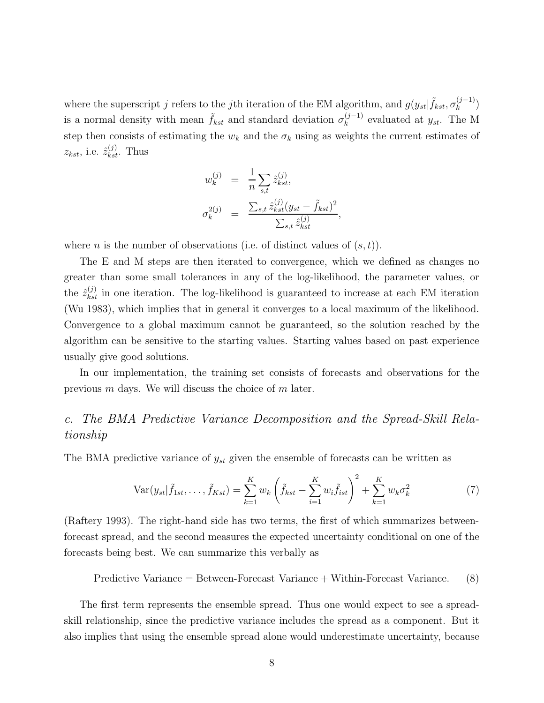where the superscript j refers to the jth iteration of the EM algorithm, and  $g(y_{st}|\tilde{f}_{kst}, \sigma_k^{(j-1)})$  $\binom{(J-1)}{k}$ is a normal density with mean  $\tilde{f}_{kst}$  and standard deviation  $\sigma_k^{(j-1)}$  $\binom{(J-1)}{k}$  evaluated at  $y_{st}$ . The M step then consists of estimating the  $w_k$  and the  $\sigma_k$  using as weights the current estimates of  $z_{kst}$ , i.e.  $\hat{z}_{kst}^{(j)}$ . Thus

$$
w_k^{(j)} = \frac{1}{n} \sum_{s,t} \hat{z}_{kst}^{(j)},
$$
  

$$
\sigma_k^{2(j)} = \frac{\sum_{s,t} \hat{z}_{kst}^{(j)} (y_{st} - \tilde{f}_{kst})^2}{\sum_{s,t} \hat{z}_{kst}^{(j)}}
$$

,

where *n* is the number of observations (i.e. of distinct values of  $(s,t)$ ).

The E and M steps are then iterated to convergence, which we defined as changes no greater than some small tolerances in any of the log-likelihood, the parameter values, or the  $\hat{z}_{kst}^{(j)}$  in one iteration. The log-likelihood is guaranteed to increase at each EM iteration (Wu 1983), which implies that in general it converges to a local maximum of the likelihood. Convergence to a global maximum cannot be guaranteed, so the solution reached by the algorithm can be sensitive to the starting values. Starting values based on past experience usually give good solutions.

In our implementation, the training set consists of forecasts and observations for the previous m days. We will discuss the choice of m later.

## c. The BMA Predictive Variance Decomposition and the Spread-Skill Relationship

The BMA predictive variance of  $y_{st}$  given the ensemble of forecasts can be written as

$$
\text{Var}(y_{st}|\tilde{f}_{1st}, \dots, \tilde{f}_{Kst}) = \sum_{k=1}^{K} w_k \left( \tilde{f}_{kst} - \sum_{i=1}^{K} w_i \tilde{f}_{ist} \right)^2 + \sum_{k=1}^{K} w_k \sigma_k^2 \tag{7}
$$

(Raftery 1993). The right-hand side has two terms, the first of which summarizes betweenforecast spread, and the second measures the expected uncertainty conditional on one of the forecasts being best. We can summarize this verbally as

Predictive Variance = Between-Forecast Variance + Within-Forecast Variance.  $(8)$ 

The first term represents the ensemble spread. Thus one would expect to see a spreadskill relationship, since the predictive variance includes the spread as a component. But it also implies that using the ensemble spread alone would underestimate uncertainty, because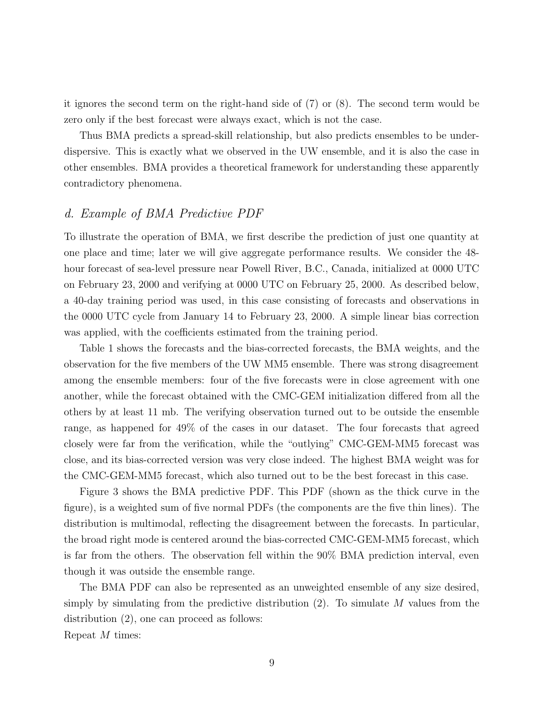it ignores the second term on the right-hand side of (7) or (8). The second term would be zero only if the best forecast were always exact, which is not the case.

Thus BMA predicts a spread-skill relationship, but also predicts ensembles to be underdispersive. This is exactly what we observed in the UW ensemble, and it is also the case in other ensembles. BMA provides a theoretical framework for understanding these apparently contradictory phenomena.

## d. Example of BMA Predictive PDF

To illustrate the operation of BMA, we first describe the prediction of just one quantity at one place and time; later we will give aggregate performance results. We consider the 48 hour forecast of sea-level pressure near Powell River, B.C., Canada, initialized at 0000 UTC on February 23, 2000 and verifying at 0000 UTC on February 25, 2000. As described below, a 40-day training period was used, in this case consisting of forecasts and observations in the 0000 UTC cycle from January 14 to February 23, 2000. A simple linear bias correction was applied, with the coefficients estimated from the training period.

Table 1 shows the forecasts and the bias-corrected forecasts, the BMA weights, and the observation for the five members of the UW MM5 ensemble. There was strong disagreement among the ensemble members: four of the five forecasts were in close agreement with one another, while the forecast obtained with the CMC-GEM initialization differed from all the others by at least 11 mb. The verifying observation turned out to be outside the ensemble range, as happened for 49% of the cases in our dataset. The four forecasts that agreed closely were far from the verification, while the "outlying" CMC-GEM-MM5 forecast was close, and its bias-corrected version was very close indeed. The highest BMA weight was for the CMC-GEM-MM5 forecast, which also turned out to be the best forecast in this case.

Figure 3 shows the BMA predictive PDF. This PDF (shown as the thick curve in the figure), is a weighted sum of five normal PDFs (the components are the five thin lines). The distribution is multimodal, reflecting the disagreement between the forecasts. In particular, the broad right mode is centered around the bias-corrected CMC-GEM-MM5 forecast, which is far from the others. The observation fell within the 90% BMA prediction interval, even though it was outside the ensemble range.

The BMA PDF can also be represented as an unweighted ensemble of any size desired, simply by simulating from the predictive distribution  $(2)$ . To simulate M values from the distribution (2), one can proceed as follows: Repeat M times: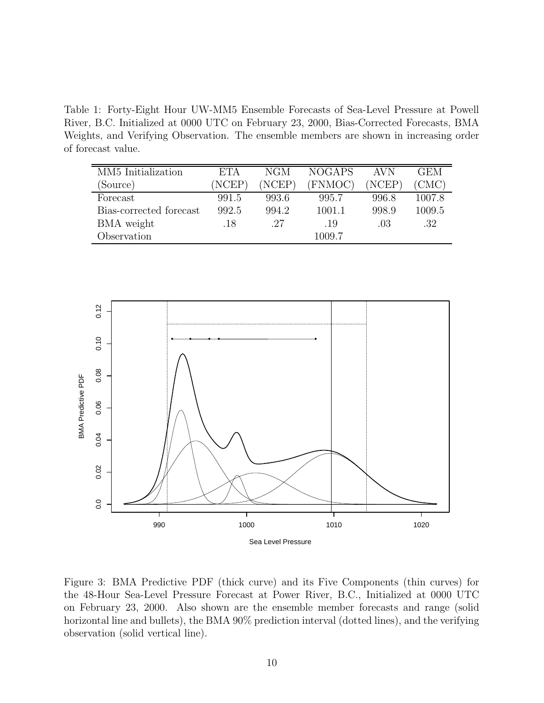Table 1: Forty-Eight Hour UW-MM5 Ensemble Forecasts of Sea-Level Pressure at Powell River, B.C. Initialized at 0000 UTC on February 23, 2000, Bias-Corrected Forecasts, BMA Weights, and Verifying Observation. The ensemble members are shown in increasing order of forecast value.

| MM5 Initialization      | ETA    | NGM    | <b>NOGAPS</b> | AVN    | GEM    |
|-------------------------|--------|--------|---------------|--------|--------|
| (Source)                | (NCEP) | (NCEP) | (FNMOC)       | (NCEP) | (CMC)  |
| Forecast                | 991.5  | 993.6  | 995.7         | 996.8  | 1007.8 |
| Bias-corrected forecast | 992.5  | 994.2  | 1001.1        | 998.9  | 1009.5 |
| BMA weight              | .18    | .27    | .19           | .03    | .32    |
| Observation             |        |        | 1009.7        |        |        |



Figure 3: BMA Predictive PDF (thick curve) and its Five Components (thin curves) for the 48-Hour Sea-Level Pressure Forecast at Power River, B.C., Initialized at 0000 UTC on February 23, 2000. Also shown are the ensemble member forecasts and range (solid horizontal line and bullets), the BMA 90% prediction interval (dotted lines), and the verifying observation (solid vertical line).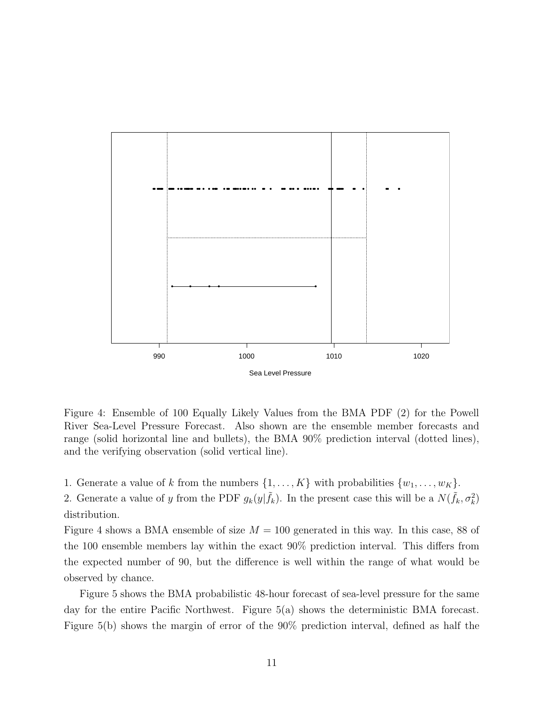

Figure 4: Ensemble of 100 Equally Likely Values from the BMA PDF (2) for the Powell River Sea-Level Pressure Forecast. Also shown are the ensemble member forecasts and range (solid horizontal line and bullets), the BMA 90% prediction interval (dotted lines), and the verifying observation (solid vertical line).

1. Generate a value of k from the numbers  $\{1, \ldots, K\}$  with probabilities  $\{w_1, \ldots, w_K\}$ .

2. Generate a value of y from the PDF  $g_k(y|\tilde{f}_k)$ . In the present case this will be a  $N(\tilde{f}_k, \sigma_k^2)$ distribution.

Figure 4 shows a BMA ensemble of size  $M = 100$  generated in this way. In this case, 88 of the 100 ensemble members lay within the exact 90% prediction interval. This differs from the expected number of 90, but the difference is well within the range of what would be observed by chance.

Figure 5 shows the BMA probabilistic 48-hour forecast of sea-level pressure for the same day for the entire Pacific Northwest. Figure 5(a) shows the deterministic BMA forecast. Figure 5(b) shows the margin of error of the 90% prediction interval, defined as half the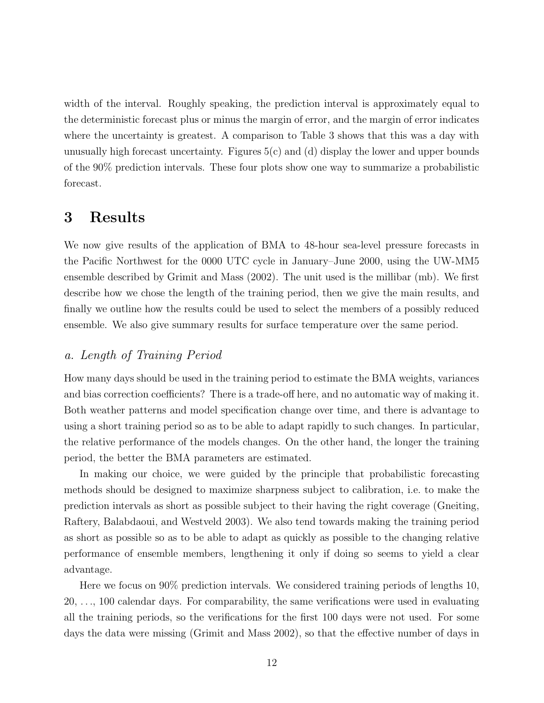width of the interval. Roughly speaking, the prediction interval is approximately equal to the deterministic forecast plus or minus the margin of error, and the margin of error indicates where the uncertainty is greatest. A comparison to Table 3 shows that this was a day with unusually high forecast uncertainty. Figures  $5(c)$  and (d) display the lower and upper bounds of the 90% prediction intervals. These four plots show one way to summarize a probabilistic forecast.

## 3 Results

We now give results of the application of BMA to 48-hour sea-level pressure forecasts in the Pacific Northwest for the 0000 UTC cycle in January–June 2000, using the UW-MM5 ensemble described by Grimit and Mass (2002). The unit used is the millibar (mb). We first describe how we chose the length of the training period, then we give the main results, and finally we outline how the results could be used to select the members of a possibly reduced ensemble. We also give summary results for surface temperature over the same period.

### a. Length of Training Period

How many days should be used in the training period to estimate the BMA weights, variances and bias correction coefficients? There is a trade-off here, and no automatic way of making it. Both weather patterns and model specification change over time, and there is advantage to using a short training period so as to be able to adapt rapidly to such changes. In particular, the relative performance of the models changes. On the other hand, the longer the training period, the better the BMA parameters are estimated.

In making our choice, we were guided by the principle that probabilistic forecasting methods should be designed to maximize sharpness subject to calibration, i.e. to make the prediction intervals as short as possible subject to their having the right coverage (Gneiting, Raftery, Balabdaoui, and Westveld 2003). We also tend towards making the training period as short as possible so as to be able to adapt as quickly as possible to the changing relative performance of ensemble members, lengthening it only if doing so seems to yield a clear advantage.

Here we focus on 90% prediction intervals. We considered training periods of lengths 10, 20, . . ., 100 calendar days. For comparability, the same verifications were used in evaluating all the training periods, so the verifications for the first 100 days were not used. For some days the data were missing (Grimit and Mass 2002), so that the effective number of days in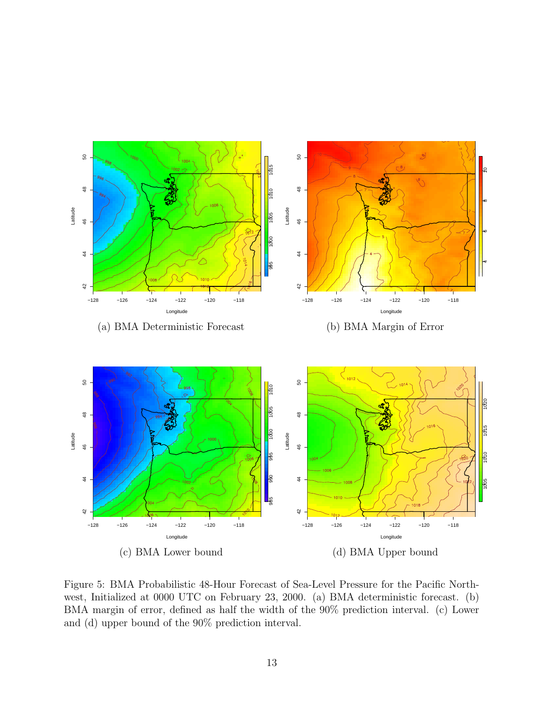

Figure 5: BMA Probabilistic 48-Hour Forecast of Sea-Level Pressure for the Pacific Northwest, Initialized at 0000 UTC on February 23, 2000. (a) BMA deterministic forecast. (b) BMA margin of error, defined as half the width of the 90% prediction interval. (c) Lower and (d) upper bound of the 90% prediction interval.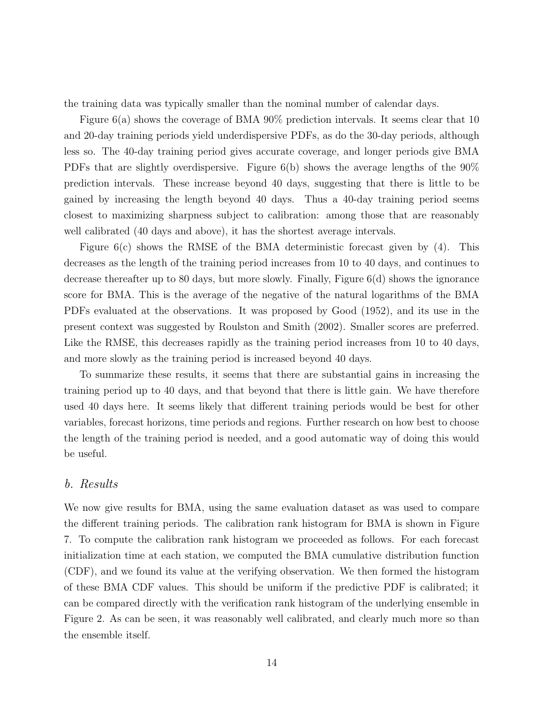the training data was typically smaller than the nominal number of calendar days.

Figure 6(a) shows the coverage of BMA 90% prediction intervals. It seems clear that 10 and 20-day training periods yield underdispersive PDFs, as do the 30-day periods, although less so. The 40-day training period gives accurate coverage, and longer periods give BMA PDFs that are slightly overdispersive. Figure 6(b) shows the average lengths of the 90% prediction intervals. These increase beyond 40 days, suggesting that there is little to be gained by increasing the length beyond 40 days. Thus a 40-day training period seems closest to maximizing sharpness subject to calibration: among those that are reasonably well calibrated (40 days and above), it has the shortest average intervals.

Figure  $6(c)$  shows the RMSE of the BMA deterministic forecast given by (4). This decreases as the length of the training period increases from 10 to 40 days, and continues to decrease thereafter up to 80 days, but more slowly. Finally, Figure 6(d) shows the ignorance score for BMA. This is the average of the negative of the natural logarithms of the BMA PDFs evaluated at the observations. It was proposed by Good (1952), and its use in the present context was suggested by Roulston and Smith (2002). Smaller scores are preferred. Like the RMSE, this decreases rapidly as the training period increases from 10 to 40 days, and more slowly as the training period is increased beyond 40 days.

To summarize these results, it seems that there are substantial gains in increasing the training period up to 40 days, and that beyond that there is little gain. We have therefore used 40 days here. It seems likely that different training periods would be best for other variables, forecast horizons, time periods and regions. Further research on how best to choose the length of the training period is needed, and a good automatic way of doing this would be useful.

### b. Results

We now give results for BMA, using the same evaluation dataset as was used to compare the different training periods. The calibration rank histogram for BMA is shown in Figure 7. To compute the calibration rank histogram we proceeded as follows. For each forecast initialization time at each station, we computed the BMA cumulative distribution function (CDF), and we found its value at the verifying observation. We then formed the histogram of these BMA CDF values. This should be uniform if the predictive PDF is calibrated; it can be compared directly with the verification rank histogram of the underlying ensemble in Figure 2. As can be seen, it was reasonably well calibrated, and clearly much more so than the ensemble itself.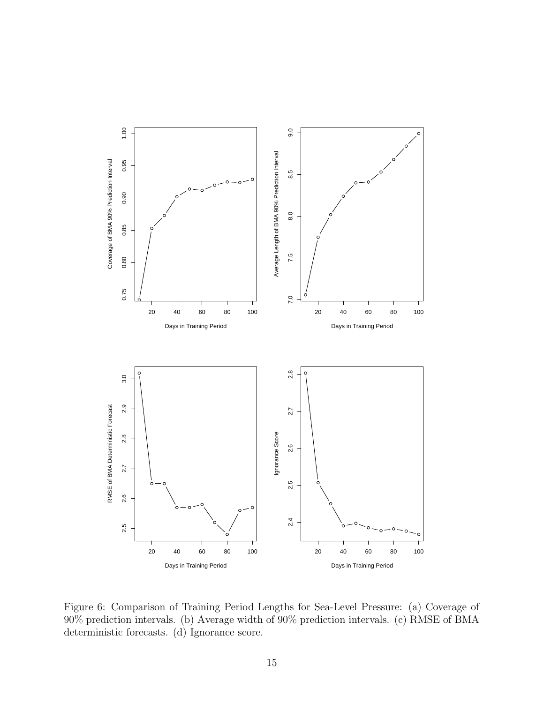

Figure 6: Comparison of Training Period Lengths for Sea-Level Pressure: (a) Coverage of 90% prediction intervals. (b) Average width of 90% prediction intervals. (c) RMSE of BMA deterministic forecasts. (d) Ignorance score.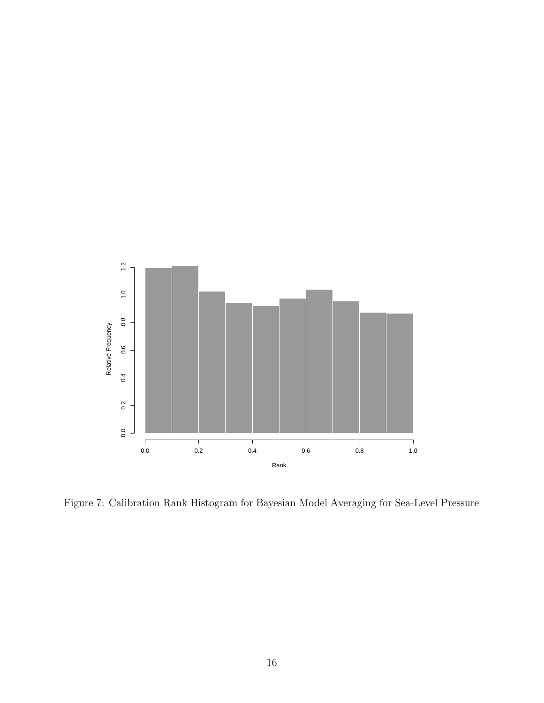

Figure 7: Calibration Rank Histogram for Bayesian Model Averaging for Sea-Level Pressure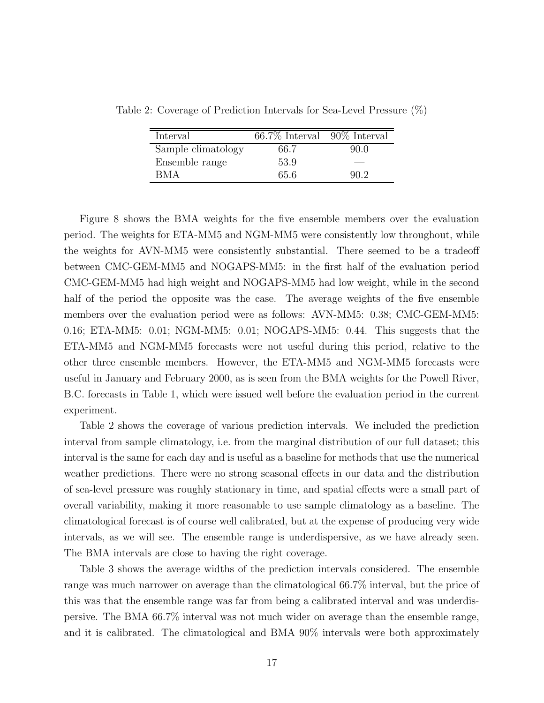| Interval           | $66.7\%$ Interval $90\%$ Interval |      |
|--------------------|-----------------------------------|------|
| Sample climatology | 66.7                              | 90.0 |
| Ensemble range     | 53.9                              |      |
| <b>BMA</b>         | 65.6                              | 90.2 |

Table 2: Coverage of Prediction Intervals for Sea-Level Pressure (%)

Figure 8 shows the BMA weights for the five ensemble members over the evaluation period. The weights for ETA-MM5 and NGM-MM5 were consistently low throughout, while the weights for AVN-MM5 were consistently substantial. There seemed to be a tradeoff between CMC-GEM-MM5 and NOGAPS-MM5: in the first half of the evaluation period CMC-GEM-MM5 had high weight and NOGAPS-MM5 had low weight, while in the second half of the period the opposite was the case. The average weights of the five ensemble members over the evaluation period were as follows: AVN-MM5: 0.38; CMC-GEM-MM5: 0.16; ETA-MM5: 0.01; NGM-MM5: 0.01; NOGAPS-MM5: 0.44. This suggests that the ETA-MM5 and NGM-MM5 forecasts were not useful during this period, relative to the other three ensemble members. However, the ETA-MM5 and NGM-MM5 forecasts were useful in January and February 2000, as is seen from the BMA weights for the Powell River, B.C. forecasts in Table 1, which were issued well before the evaluation period in the current experiment.

Table 2 shows the coverage of various prediction intervals. We included the prediction interval from sample climatology, i.e. from the marginal distribution of our full dataset; this interval is the same for each day and is useful as a baseline for methods that use the numerical weather predictions. There were no strong seasonal effects in our data and the distribution of sea-level pressure was roughly stationary in time, and spatial effects were a small part of overall variability, making it more reasonable to use sample climatology as a baseline. The climatological forecast is of course well calibrated, but at the expense of producing very wide intervals, as we will see. The ensemble range is underdispersive, as we have already seen. The BMA intervals are close to having the right coverage.

Table 3 shows the average widths of the prediction intervals considered. The ensemble range was much narrower on average than the climatological 66.7% interval, but the price of this was that the ensemble range was far from being a calibrated interval and was underdispersive. The BMA 66.7% interval was not much wider on average than the ensemble range, and it is calibrated. The climatological and BMA 90% intervals were both approximately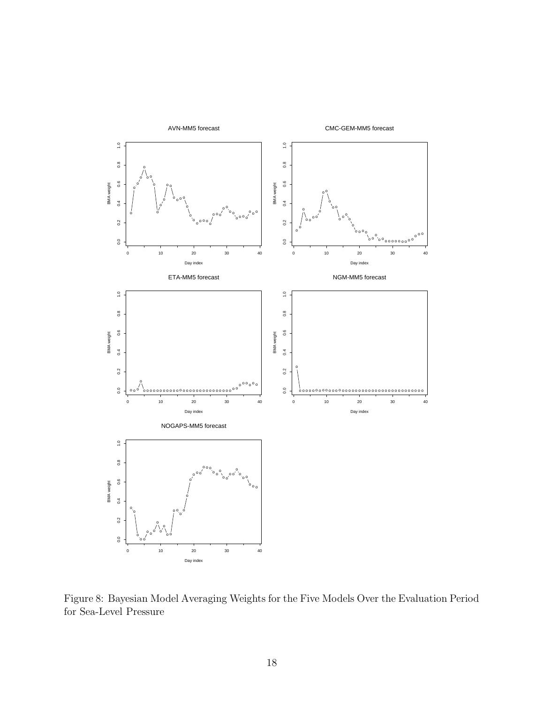

Figure 8: Bayesian Model Averaging Weights for the Five Models Over the Evaluation Period for Sea-Level Pressure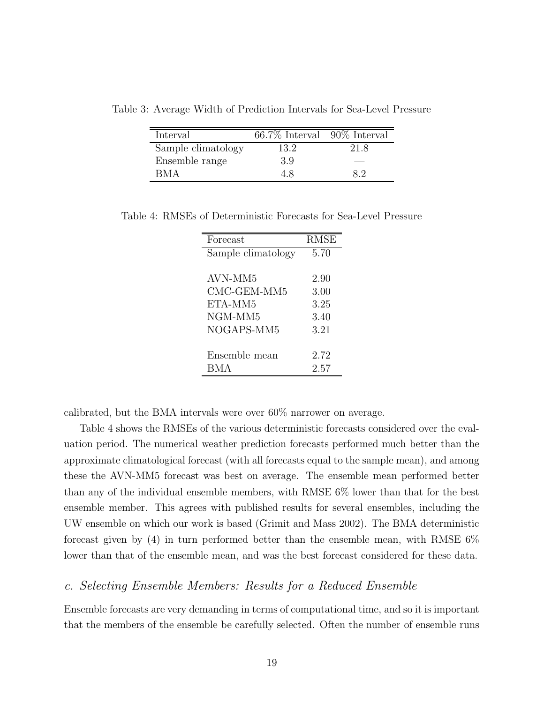Table 3: Average Width of Prediction Intervals for Sea-Level Pressure

| Interval           | $66.7\%$ Interval $90\%$ Interval |      |
|--------------------|-----------------------------------|------|
| Sample climatology | 13.2                              | 21.8 |
| Ensemble range     | 3.9                               |      |
| RM A               | 4.8                               | 82   |

Table 4: RMSEs of Deterministic Forecasts for Sea-Level Pressure

| Forecast           | <b>RMSE</b> |
|--------------------|-------------|
| Sample climatology | 5.70        |
|                    |             |
| AVN-MM5            | 2.90        |
| CMC-GEM-MM5        | 3.00        |
| ETA-MM5            | 3.25        |
| NGM-MM5            | 3.40        |
| NOGAPS-MM5         | 3.21        |
|                    |             |
| Ensemble mean      | 2.72        |
| BMA.               | 2.57        |

calibrated, but the BMA intervals were over 60% narrower on average.

Table 4 shows the RMSEs of the various deterministic forecasts considered over the evaluation period. The numerical weather prediction forecasts performed much better than the approximate climatological forecast (with all forecasts equal to the sample mean), and among these the AVN-MM5 forecast was best on average. The ensemble mean performed better than any of the individual ensemble members, with RMSE 6% lower than that for the best ensemble member. This agrees with published results for several ensembles, including the UW ensemble on which our work is based (Grimit and Mass 2002). The BMA deterministic forecast given by (4) in turn performed better than the ensemble mean, with RMSE 6% lower than that of the ensemble mean, and was the best forecast considered for these data.

## c. Selecting Ensemble Members: Results for a Reduced Ensemble

Ensemble forecasts are very demanding in terms of computational time, and so it is important that the members of the ensemble be carefully selected. Often the number of ensemble runs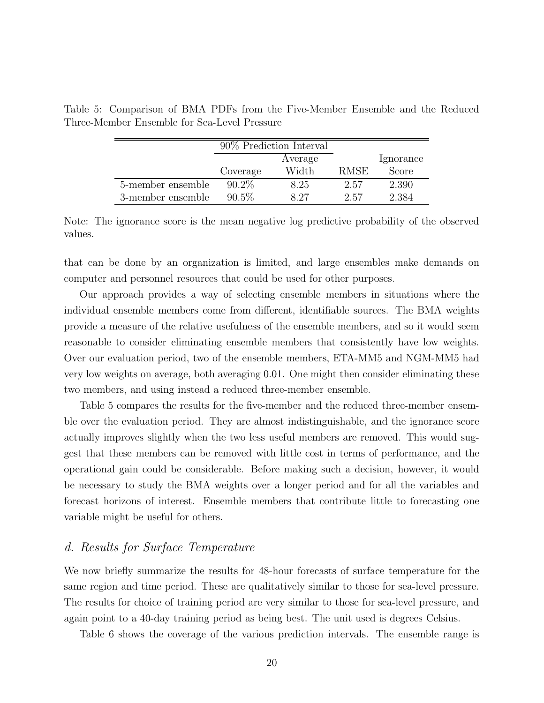|                   | 90% Prediction Interval |         |             |           |
|-------------------|-------------------------|---------|-------------|-----------|
|                   |                         | Average |             | Ignorance |
|                   | Coverage                | Width   | <b>RMSE</b> | Score     |
| 5-member ensemble | $90.2\%$                | 8.25    | 2.57        | 2.390     |
| 3-member ensemble | $90.5\%$                | 8 27    | 2.57        | 2.384     |

Table 5: Comparison of BMA PDFs from the Five-Member Ensemble and the Reduced Three-Member Ensemble for Sea-Level Pressure

Note: The ignorance score is the mean negative log predictive probability of the observed values.

that can be done by an organization is limited, and large ensembles make demands on computer and personnel resources that could be used for other purposes.

Our approach provides a way of selecting ensemble members in situations where the individual ensemble members come from different, identifiable sources. The BMA weights provide a measure of the relative usefulness of the ensemble members, and so it would seem reasonable to consider eliminating ensemble members that consistently have low weights. Over our evaluation period, two of the ensemble members, ETA-MM5 and NGM-MM5 had very low weights on average, both averaging 0.01. One might then consider eliminating these two members, and using instead a reduced three-member ensemble.

Table 5 compares the results for the five-member and the reduced three-member ensemble over the evaluation period. They are almost indistinguishable, and the ignorance score actually improves slightly when the two less useful members are removed. This would suggest that these members can be removed with little cost in terms of performance, and the operational gain could be considerable. Before making such a decision, however, it would be necessary to study the BMA weights over a longer period and for all the variables and forecast horizons of interest. Ensemble members that contribute little to forecasting one variable might be useful for others.

## d. Results for Surface Temperature

We now briefly summarize the results for 48-hour forecasts of surface temperature for the same region and time period. These are qualitatively similar to those for sea-level pressure. The results for choice of training period are very similar to those for sea-level pressure, and again point to a 40-day training period as being best. The unit used is degrees Celsius.

Table 6 shows the coverage of the various prediction intervals. The ensemble range is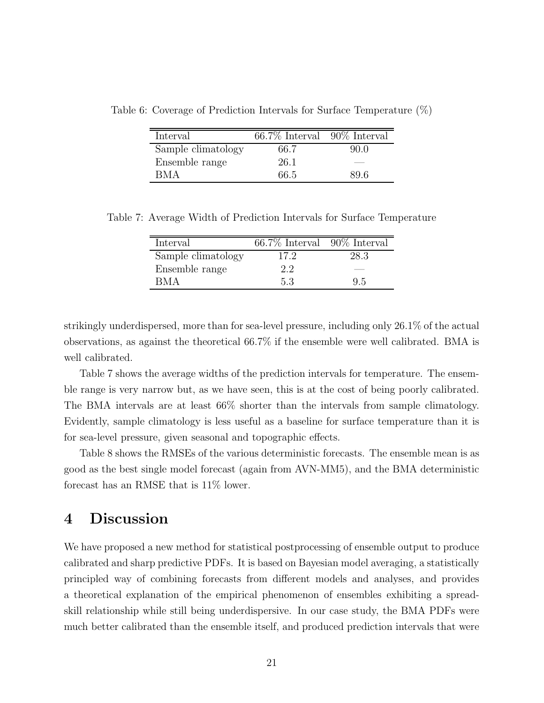Table 6: Coverage of Prediction Intervals for Surface Temperature (%)

| Interval           | $66.7\%$ Interval $90\%$ Interval |      |
|--------------------|-----------------------------------|------|
| Sample climatology | 66.7                              | 90.0 |
| Ensemble range     | 26.1                              |      |
| <b>BMA</b>         | 66.5                              | 89.6 |

Table 7: Average Width of Prediction Intervals for Surface Temperature

| Interval           | $66.7\%$ Interval $90\%$ Interval |      |
|--------------------|-----------------------------------|------|
| Sample climatology | 17.2                              | 28.3 |
| Ensemble range     | 2.2                               |      |
| RM A               | 53                                | 95   |

strikingly underdispersed, more than for sea-level pressure, including only 26.1% of the actual observations, as against the theoretical 66.7% if the ensemble were well calibrated. BMA is well calibrated.

Table 7 shows the average widths of the prediction intervals for temperature. The ensemble range is very narrow but, as we have seen, this is at the cost of being poorly calibrated. The BMA intervals are at least 66% shorter than the intervals from sample climatology. Evidently, sample climatology is less useful as a baseline for surface temperature than it is for sea-level pressure, given seasonal and topographic effects.

Table 8 shows the RMSEs of the various deterministic forecasts. The ensemble mean is as good as the best single model forecast (again from AVN-MM5), and the BMA deterministic forecast has an RMSE that is 11% lower.

## 4 Discussion

We have proposed a new method for statistical postprocessing of ensemble output to produce calibrated and sharp predictive PDFs. It is based on Bayesian model averaging, a statistically principled way of combining forecasts from different models and analyses, and provides a theoretical explanation of the empirical phenomenon of ensembles exhibiting a spreadskill relationship while still being underdispersive. In our case study, the BMA PDFs were much better calibrated than the ensemble itself, and produced prediction intervals that were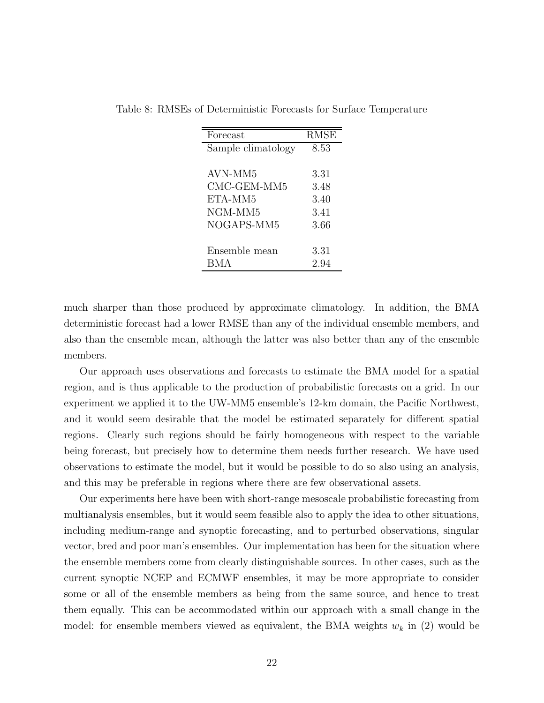| Forecast           | <b>RMSE</b> |
|--------------------|-------------|
| Sample climatology | 8.53        |
|                    |             |
| AVN-MM5            | 3.31        |
| CMC-GEM-MM5        | 3.48        |
| ETA-MM5            | 3.40        |
| NGM-MM5            | 3.41        |
| NOGAPS-MM5         | 3.66        |
|                    |             |
| Ensemble mean      | 3.31        |
| BMA                | 2.94        |

Table 8: RMSEs of Deterministic Forecasts for Surface Temperature

much sharper than those produced by approximate climatology. In addition, the BMA deterministic forecast had a lower RMSE than any of the individual ensemble members, and also than the ensemble mean, although the latter was also better than any of the ensemble members.

Our approach uses observations and forecasts to estimate the BMA model for a spatial region, and is thus applicable to the production of probabilistic forecasts on a grid. In our experiment we applied it to the UW-MM5 ensemble's 12-km domain, the Pacific Northwest, and it would seem desirable that the model be estimated separately for different spatial regions. Clearly such regions should be fairly homogeneous with respect to the variable being forecast, but precisely how to determine them needs further research. We have used observations to estimate the model, but it would be possible to do so also using an analysis, and this may be preferable in regions where there are few observational assets.

Our experiments here have been with short-range mesoscale probabilistic forecasting from multianalysis ensembles, but it would seem feasible also to apply the idea to other situations, including medium-range and synoptic forecasting, and to perturbed observations, singular vector, bred and poor man's ensembles. Our implementation has been for the situation where the ensemble members come from clearly distinguishable sources. In other cases, such as the current synoptic NCEP and ECMWF ensembles, it may be more appropriate to consider some or all of the ensemble members as being from the same source, and hence to treat them equally. This can be accommodated within our approach with a small change in the model: for ensemble members viewed as equivalent, the BMA weights  $w_k$  in (2) would be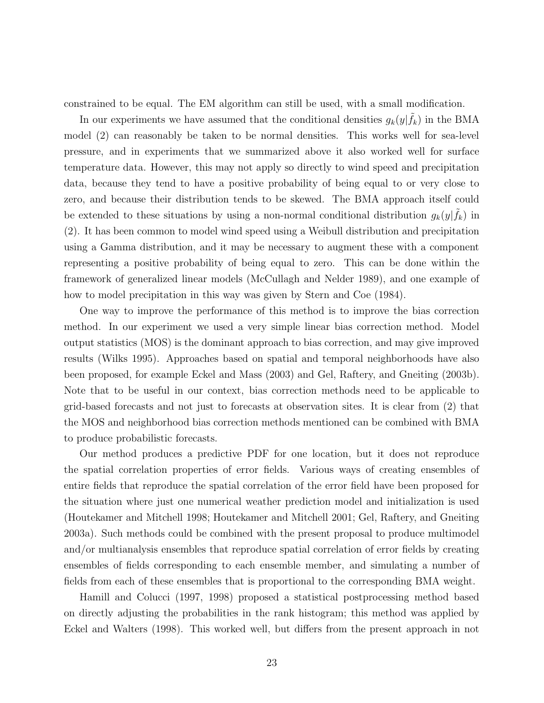constrained to be equal. The EM algorithm can still be used, with a small modification.

In our experiments we have assumed that the conditional densities  $g_k(y|\tilde{f}_k)$  in the BMA model (2) can reasonably be taken to be normal densities. This works well for sea-level pressure, and in experiments that we summarized above it also worked well for surface temperature data. However, this may not apply so directly to wind speed and precipitation data, because they tend to have a positive probability of being equal to or very close to zero, and because their distribution tends to be skewed. The BMA approach itself could be extended to these situations by using a non-normal conditional distribution  $g_k(y|\tilde{f}_k)$  in (2). It has been common to model wind speed using a Weibull distribution and precipitation using a Gamma distribution, and it may be necessary to augment these with a component representing a positive probability of being equal to zero. This can be done within the framework of generalized linear models (McCullagh and Nelder 1989), and one example of how to model precipitation in this way was given by Stern and Coe (1984).

One way to improve the performance of this method is to improve the bias correction method. In our experiment we used a very simple linear bias correction method. Model output statistics (MOS) is the dominant approach to bias correction, and may give improved results (Wilks 1995). Approaches based on spatial and temporal neighborhoods have also been proposed, for example Eckel and Mass (2003) and Gel, Raftery, and Gneiting (2003b). Note that to be useful in our context, bias correction methods need to be applicable to grid-based forecasts and not just to forecasts at observation sites. It is clear from (2) that the MOS and neighborhood bias correction methods mentioned can be combined with BMA to produce probabilistic forecasts.

Our method produces a predictive PDF for one location, but it does not reproduce the spatial correlation properties of error fields. Various ways of creating ensembles of entire fields that reproduce the spatial correlation of the error field have been proposed for the situation where just one numerical weather prediction model and initialization is used (Houtekamer and Mitchell 1998; Houtekamer and Mitchell 2001; Gel, Raftery, and Gneiting 2003a). Such methods could be combined with the present proposal to produce multimodel and/or multianalysis ensembles that reproduce spatial correlation of error fields by creating ensembles of fields corresponding to each ensemble member, and simulating a number of fields from each of these ensembles that is proportional to the corresponding BMA weight.

Hamill and Colucci (1997, 1998) proposed a statistical postprocessing method based on directly adjusting the probabilities in the rank histogram; this method was applied by Eckel and Walters (1998). This worked well, but differs from the present approach in not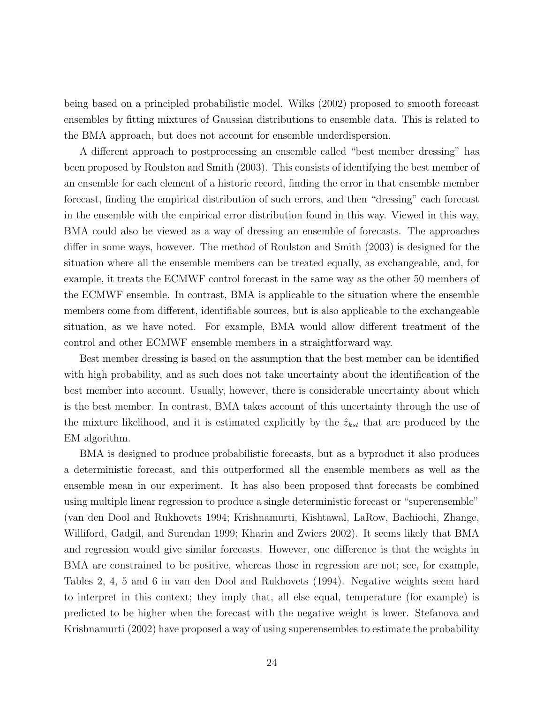being based on a principled probabilistic model. Wilks (2002) proposed to smooth forecast ensembles by fitting mixtures of Gaussian distributions to ensemble data. This is related to the BMA approach, but does not account for ensemble underdispersion.

A different approach to postprocessing an ensemble called "best member dressing" has been proposed by Roulston and Smith (2003). This consists of identifying the best member of an ensemble for each element of a historic record, finding the error in that ensemble member forecast, finding the empirical distribution of such errors, and then "dressing" each forecast in the ensemble with the empirical error distribution found in this way. Viewed in this way, BMA could also be viewed as a way of dressing an ensemble of forecasts. The approaches differ in some ways, however. The method of Roulston and Smith (2003) is designed for the situation where all the ensemble members can be treated equally, as exchangeable, and, for example, it treats the ECMWF control forecast in the same way as the other 50 members of the ECMWF ensemble. In contrast, BMA is applicable to the situation where the ensemble members come from different, identifiable sources, but is also applicable to the exchangeable situation, as we have noted. For example, BMA would allow different treatment of the control and other ECMWF ensemble members in a straightforward way.

Best member dressing is based on the assumption that the best member can be identified with high probability, and as such does not take uncertainty about the identification of the best member into account. Usually, however, there is considerable uncertainty about which is the best member. In contrast, BMA takes account of this uncertainty through the use of the mixture likelihood, and it is estimated explicitly by the  $\hat{z}_{kst}$  that are produced by the EM algorithm.

BMA is designed to produce probabilistic forecasts, but as a byproduct it also produces a deterministic forecast, and this outperformed all the ensemble members as well as the ensemble mean in our experiment. It has also been proposed that forecasts be combined using multiple linear regression to produce a single deterministic forecast or "superensemble" (van den Dool and Rukhovets 1994; Krishnamurti, Kishtawal, LaRow, Bachiochi, Zhange, Williford, Gadgil, and Surendan 1999; Kharin and Zwiers 2002). It seems likely that BMA and regression would give similar forecasts. However, one difference is that the weights in BMA are constrained to be positive, whereas those in regression are not; see, for example, Tables 2, 4, 5 and 6 in van den Dool and Rukhovets (1994). Negative weights seem hard to interpret in this context; they imply that, all else equal, temperature (for example) is predicted to be higher when the forecast with the negative weight is lower. Stefanova and Krishnamurti (2002) have proposed a way of using superensembles to estimate the probability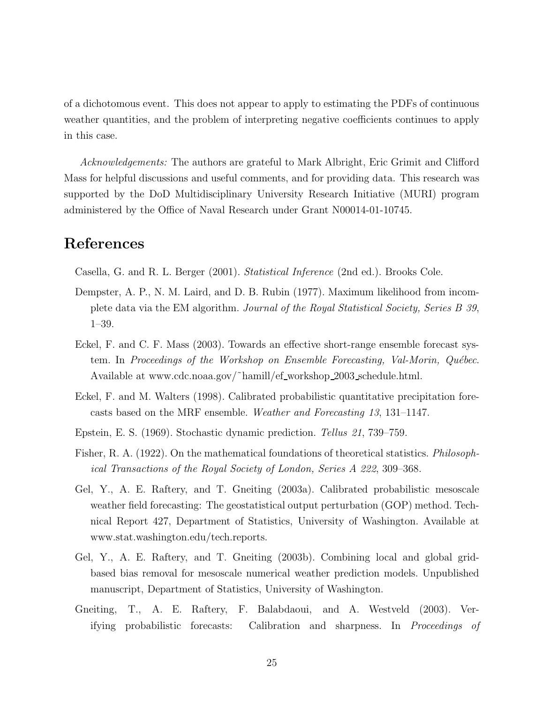of a dichotomous event. This does not appear to apply to estimating the PDFs of continuous weather quantities, and the problem of interpreting negative coefficients continues to apply in this case.

Acknowledgements: The authors are grateful to Mark Albright, Eric Grimit and Clifford Mass for helpful discussions and useful comments, and for providing data. This research was supported by the DoD Multidisciplinary University Research Initiative (MURI) program administered by the Office of Naval Research under Grant N00014-01-10745.

## References

Casella, G. and R. L. Berger (2001). Statistical Inference (2nd ed.). Brooks Cole.

- Dempster, A. P., N. M. Laird, and D. B. Rubin (1977). Maximum likelihood from incomplete data via the EM algorithm. Journal of the Royal Statistical Society, Series B 39, 1–39.
- Eckel, F. and C. F. Mass (2003). Towards an effective short-range ensemble forecast system. In Proceedings of the Workshop on Ensemble Forecasting, Val-Morin, Québec. Available at www.cdc.noaa.gov/˜hamill/ef workshop 2003 schedule.html.
- Eckel, F. and M. Walters (1998). Calibrated probabilistic quantitative precipitation forecasts based on the MRF ensemble. Weather and Forecasting 13, 131–1147.
- Epstein, E. S. (1969). Stochastic dynamic prediction. Tellus 21, 739–759.
- Fisher, R. A. (1922). On the mathematical foundations of theoretical statistics. Philosophical Transactions of the Royal Society of London, Series A 222, 309–368.
- Gel, Y., A. E. Raftery, and T. Gneiting (2003a). Calibrated probabilistic mesoscale weather field forecasting: The geostatistical output perturbation (GOP) method. Technical Report 427, Department of Statistics, University of Washington. Available at www.stat.washington.edu/tech.reports.
- Gel, Y., A. E. Raftery, and T. Gneiting (2003b). Combining local and global gridbased bias removal for mesoscale numerical weather prediction models. Unpublished manuscript, Department of Statistics, University of Washington.
- Gneiting, T., A. E. Raftery, F. Balabdaoui, and A. Westveld (2003). Verifying probabilistic forecasts: Calibration and sharpness. In Proceedings of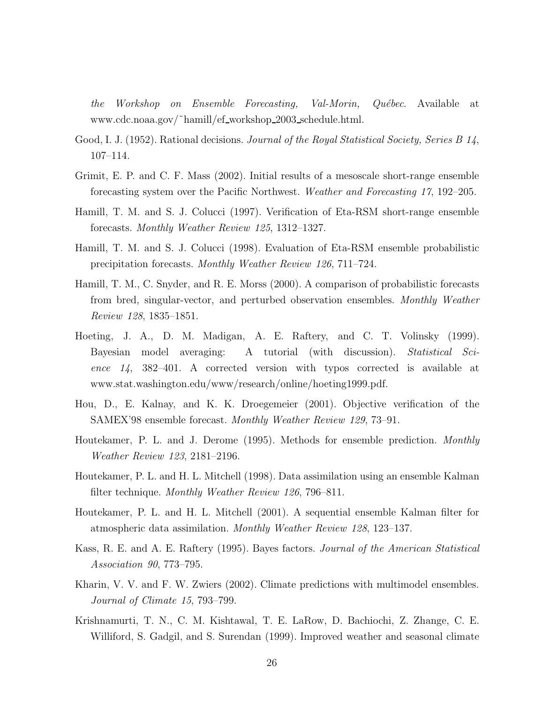the Workshop on Ensemble Forecasting, Val-Morin, Québec. Available at www.cdc.noaa.gov/˜hamill/ef workshop 2003 schedule.html.

- Good, I. J. (1952). Rational decisions. Journal of the Royal Statistical Society, Series B 14, 107–114.
- Grimit, E. P. and C. F. Mass (2002). Initial results of a mesoscale short-range ensemble forecasting system over the Pacific Northwest. Weather and Forecasting 17, 192–205.
- Hamill, T. M. and S. J. Colucci (1997). Verification of Eta-RSM short-range ensemble forecasts. Monthly Weather Review 125, 1312–1327.
- Hamill, T. M. and S. J. Colucci (1998). Evaluation of Eta-RSM ensemble probabilistic precipitation forecasts. Monthly Weather Review 126, 711–724.
- Hamill, T. M., C. Snyder, and R. E. Morss (2000). A comparison of probabilistic forecasts from bred, singular-vector, and perturbed observation ensembles. Monthly Weather Review 128, 1835–1851.
- Hoeting, J. A., D. M. Madigan, A. E. Raftery, and C. T. Volinsky (1999). Bayesian model averaging: A tutorial (with discussion). Statistical Science 14, 382–401. A corrected version with typos corrected is available at www.stat.washington.edu/www/research/online/hoeting1999.pdf.
- Hou, D., E. Kalnay, and K. K. Droegemeier (2001). Objective verification of the SAMEX'98 ensemble forecast. Monthly Weather Review 129, 73–91.
- Houtekamer, P. L. and J. Derome (1995). Methods for ensemble prediction. Monthly Weather Review 123, 2181–2196.
- Houtekamer, P. L. and H. L. Mitchell (1998). Data assimilation using an ensemble Kalman filter technique. Monthly Weather Review 126, 796–811.
- Houtekamer, P. L. and H. L. Mitchell (2001). A sequential ensemble Kalman filter for atmospheric data assimilation. Monthly Weather Review 128, 123–137.
- Kass, R. E. and A. E. Raftery (1995). Bayes factors. Journal of the American Statistical Association 90, 773–795.
- Kharin, V. V. and F. W. Zwiers (2002). Climate predictions with multimodel ensembles. Journal of Climate 15, 793–799.
- Krishnamurti, T. N., C. M. Kishtawal, T. E. LaRow, D. Bachiochi, Z. Zhange, C. E. Williford, S. Gadgil, and S. Surendan (1999). Improved weather and seasonal climate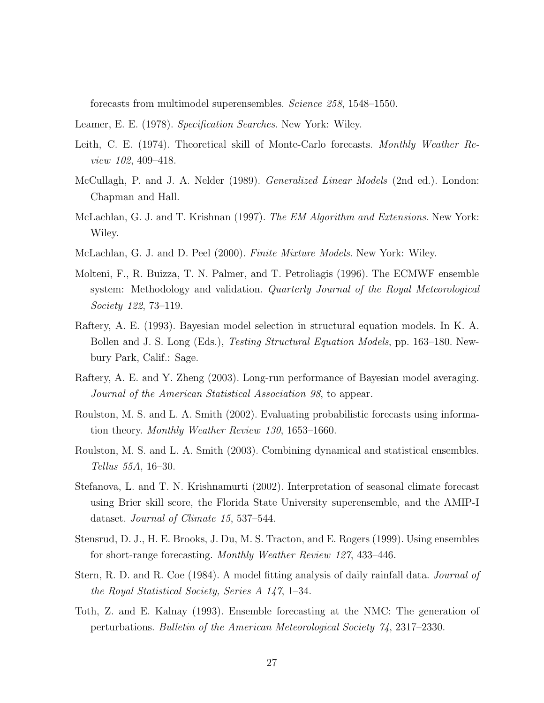forecasts from multimodel superensembles. Science 258, 1548–1550.

- Leamer, E. E. (1978). Specification Searches. New York: Wiley.
- Leith, C. E. (1974). Theoretical skill of Monte-Carlo forecasts. Monthly Weather Review 102, 409–418.
- McCullagh, P. and J. A. Nelder (1989). Generalized Linear Models (2nd ed.). London: Chapman and Hall.
- McLachlan, G. J. and T. Krishnan (1997). The EM Algorithm and Extensions. New York: Wiley.
- McLachlan, G. J. and D. Peel (2000). Finite Mixture Models. New York: Wiley.
- Molteni, F., R. Buizza, T. N. Palmer, and T. Petroliagis (1996). The ECMWF ensemble system: Methodology and validation. *Quarterly Journal of the Royal Meteorological* Society 122, 73–119.
- Raftery, A. E. (1993). Bayesian model selection in structural equation models. In K. A. Bollen and J. S. Long (Eds.), Testing Structural Equation Models, pp. 163–180. Newbury Park, Calif.: Sage.
- Raftery, A. E. and Y. Zheng (2003). Long-run performance of Bayesian model averaging. Journal of the American Statistical Association 98, to appear.
- Roulston, M. S. and L. A. Smith (2002). Evaluating probabilistic forecasts using information theory. Monthly Weather Review 130, 1653–1660.
- Roulston, M. S. and L. A. Smith (2003). Combining dynamical and statistical ensembles. Tellus 55A, 16–30.
- Stefanova, L. and T. N. Krishnamurti (2002). Interpretation of seasonal climate forecast using Brier skill score, the Florida State University superensemble, and the AMIP-I dataset. Journal of Climate 15, 537–544.
- Stensrud, D. J., H. E. Brooks, J. Du, M. S. Tracton, and E. Rogers (1999). Using ensembles for short-range forecasting. Monthly Weather Review 127, 433–446.
- Stern, R. D. and R. Coe (1984). A model fitting analysis of daily rainfall data. Journal of the Royal Statistical Society, Series A 147, 1–34.
- Toth, Z. and E. Kalnay (1993). Ensemble forecasting at the NMC: The generation of perturbations. Bulletin of the American Meteorological Society 74, 2317–2330.